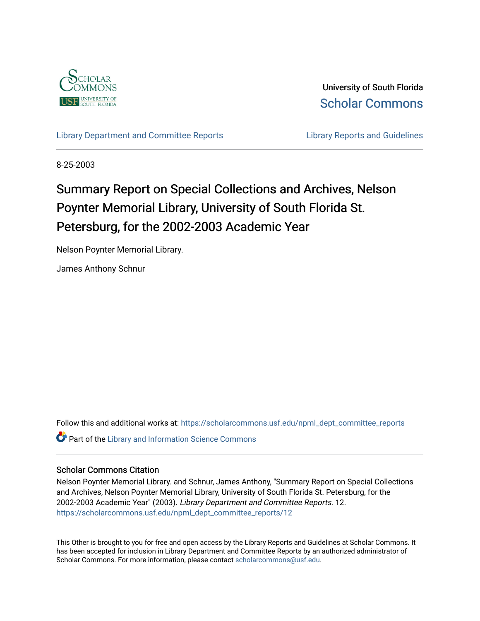

University of South Florida [Scholar Commons](https://scholarcommons.usf.edu/) 

[Library Department and Committee Reports](https://scholarcommons.usf.edu/npml_dept_committee_reports) **Library Reports and Guidelines** 

8-25-2003

# Summary Report on Special Collections and Archives, Nelson Poynter Memorial Library, University of South Florida St. Petersburg, for the 2002-2003 Academic Year

Nelson Poynter Memorial Library.

James Anthony Schnur

Follow this and additional works at: [https://scholarcommons.usf.edu/npml\\_dept\\_committee\\_reports](https://scholarcommons.usf.edu/npml_dept_committee_reports?utm_source=scholarcommons.usf.edu%2Fnpml_dept_committee_reports%2F12&utm_medium=PDF&utm_campaign=PDFCoverPages) **Part of the Library and Information Science Commons** 

## Scholar Commons Citation

Nelson Poynter Memorial Library. and Schnur, James Anthony, "Summary Report on Special Collections and Archives, Nelson Poynter Memorial Library, University of South Florida St. Petersburg, for the 2002-2003 Academic Year" (2003). Library Department and Committee Reports. 12. [https://scholarcommons.usf.edu/npml\\_dept\\_committee\\_reports/12](https://scholarcommons.usf.edu/npml_dept_committee_reports/12?utm_source=scholarcommons.usf.edu%2Fnpml_dept_committee_reports%2F12&utm_medium=PDF&utm_campaign=PDFCoverPages) 

This Other is brought to you for free and open access by the Library Reports and Guidelines at Scholar Commons. It has been accepted for inclusion in Library Department and Committee Reports by an authorized administrator of Scholar Commons. For more information, please contact [scholarcommons@usf.edu](mailto:scholarcommons@usf.edu).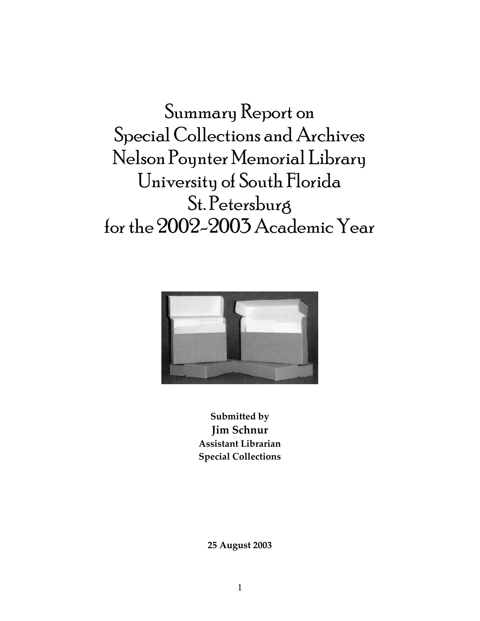Summary Report on Special Collections and Archives Nelson Poynter Memorial Library University of South Florida St. Petersburg for the 2002-2003 Academic Year



**Submitted by Jim Schnur Assistant Librarian Special Collections**

**25 August 2003**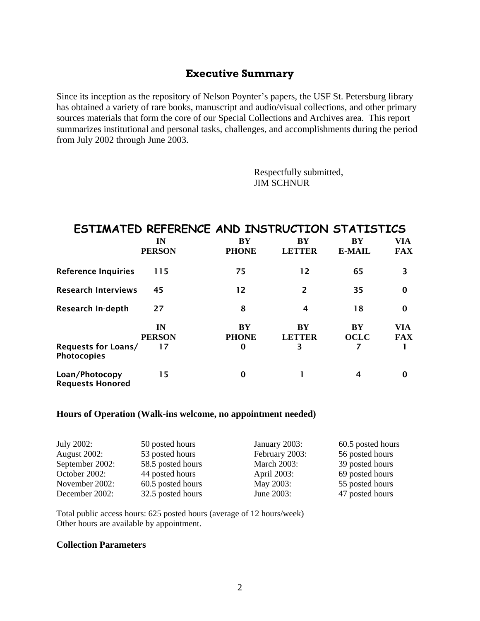## **Executive Summary**

Since its inception as the repository of Nelson Poynter's papers, the USF St. Petersburg library has obtained a variety of rare books, manuscript and audio/visual collections, and other primary sources materials that form the core of our Special Collections and Archives area. This report summarizes institutional and personal tasks, challenges, and accomplishments during the period from July 2002 through June 2003.

> Respectfully submitted, JIM SCHNUR

## **ESTIMATED REFERENCE AND INSTRUCTION STATISTICS**

|                                           | IN<br><b>PERSON</b>       | BY<br><b>PHONE</b>                    | BY<br><b>LETTER</b>      | BY<br><b>E-MAIL</b> | VIA<br><b>FAX</b> |
|-------------------------------------------|---------------------------|---------------------------------------|--------------------------|---------------------|-------------------|
| <b>Reference Inquiries</b>                | 115                       | 75                                    | 12                       | 65                  | 3                 |
| <b>Research Interviews</b>                | 45                        | 12                                    | 2                        | 35                  | $\bf{0}$          |
| Research In-depth                         | 27                        | 8                                     | 4                        | 18                  | $\bf{0}$          |
| Requests for Loans/<br><b>Photocopies</b> | IN<br><b>PERSON</b><br>17 | <b>BY</b><br><b>PHONE</b><br>$\bf{0}$ | BY<br><b>LETTER</b><br>3 | BY<br><b>OCLC</b>   | VIA<br><b>FAX</b> |
| Loan/Photocopy<br><b>Requests Honored</b> | 15                        | $\Omega$                              |                          | 4                   | 0                 |

#### **Hours of Operation (Walk-ins welcome, no appointment needed)**

| July 2002:          | 50 posted hours   | January 2003:      | 60.5 posted hours |
|---------------------|-------------------|--------------------|-------------------|
| <b>August 2002:</b> | 53 posted hours   | February 2003:     | 56 posted hours   |
| September 2002:     | 58.5 posted hours | <b>March 2003:</b> | 39 posted hours   |
| October 2002:       | 44 posted hours   | April 2003:        | 69 posted hours   |
| November 2002:      | 60.5 posted hours | May 2003:          | 55 posted hours   |
| December 2002:      | 32.5 posted hours | June 2003:         | 47 posted hours   |

Total public access hours: 625 posted hours (average of 12 hours/week) Other hours are available by appointment.

## **Collection Parameters**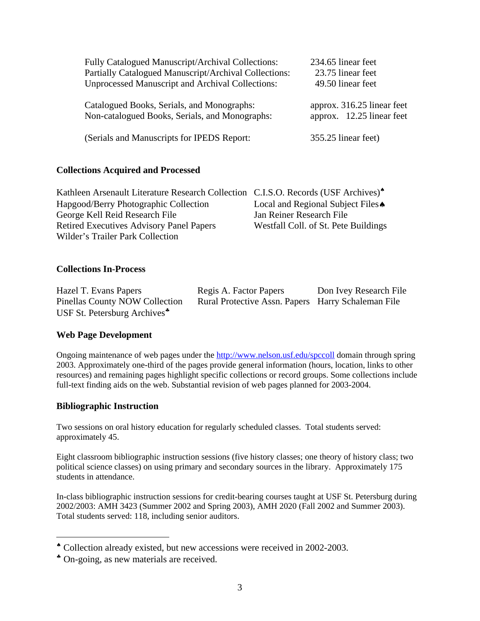| Fully Catalogued Manuscript/Archival Collections:       | 234.65 linear feet         |
|---------------------------------------------------------|----------------------------|
| Partially Catalogued Manuscript/Archival Collections:   | 23.75 linear feet          |
| <b>Unprocessed Manuscript and Archival Collections:</b> | 49.50 linear feet          |
| Catalogued Books, Serials, and Monographs:              | approx. 316.25 linear feet |
| Non-catalogued Books, Serials, and Monographs:          | approx. 12.25 linear feet  |
| (Serials and Manuscripts for IPEDS Report:              | 355.25 linear feet)        |

## **Collections Acquired and Processed**

| Kathleen Arsenault Literature Research Collection C.I.S.O. Records (USF Archives) <sup>*</sup> |                                      |
|------------------------------------------------------------------------------------------------|--------------------------------------|
| Hapgood/Berry Photographic Collection                                                          | Local and Regional Subject Files     |
| George Kell Reid Research File                                                                 | Jan Reiner Research File             |
| <b>Retired Executives Advisory Panel Papers</b>                                                | Westfall Coll. of St. Pete Buildings |
| Wilder's Trailer Park Collection                                                               |                                      |

## **Collections In-Process**

| Hazel T. Evans Papers                    | Regis A. Factor Papers                             | Don Ivey Research File |
|------------------------------------------|----------------------------------------------------|------------------------|
| <b>Pinellas County NOW Collection</b>    | Rural Protective Assn. Papers Harry Schaleman File |                        |
| USF St. Petersburg Archives <sup>*</sup> |                                                    |                        |

## **Web Page Development**

Ongoing maintenance of web pages under the http://www.nelson.usf.edu/spccoll domain through spring 2003. Approximately one-third of the pages provide general information (hours, location, links to other resources) and remaining pages highlight specific collections or record groups. Some collections include full-text finding aids on the web. Substantial revision of web pages planned for 2003-2004.

## **Bibliographic Instruction**

 $\overline{a}$ 

Two sessions on oral history education for regularly scheduled classes. Total students served: approximately 45.

Eight classroom bibliographic instruction sessions (five history classes; one theory of history class; two political science classes) on using primary and secondary sources in the library. Approximately 175 students in attendance.

In-class bibliographic instruction sessions for credit-bearing courses taught at USF St. Petersburg during 2002/2003: AMH 3423 (Summer 2002 and Spring 2003), AMH 2020 (Fall 2002 and Summer 2003). Total students served: 118, including senior auditors.

Collection already existed, but new accessions were received in 2002-2003.

On-going, as new materials are received.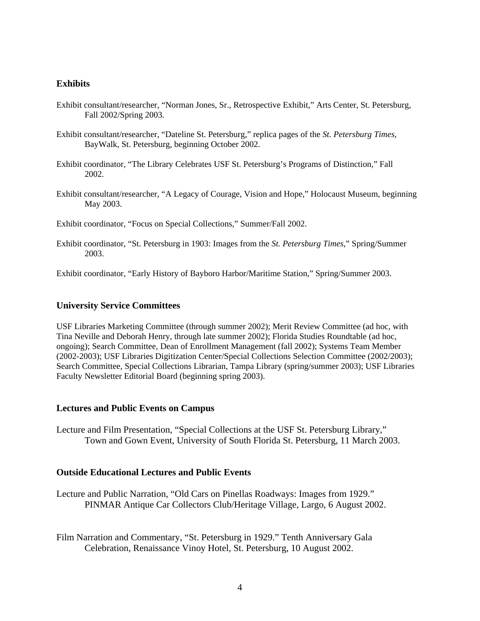## **Exhibits**

- Exhibit consultant/researcher, "Norman Jones, Sr., Retrospective Exhibit," Arts Center, St. Petersburg, Fall 2002/Spring 2003.
- Exhibit consultant/researcher, "Dateline St. Petersburg," replica pages of the *St. Petersburg Times*, BayWalk, St. Petersburg, beginning October 2002.
- Exhibit coordinator, "The Library Celebrates USF St. Petersburg's Programs of Distinction," Fall 2002.
- Exhibit consultant/researcher, "A Legacy of Courage, Vision and Hope," Holocaust Museum, beginning May 2003.

Exhibit coordinator, "Focus on Special Collections," Summer/Fall 2002.

Exhibit coordinator, "St. Petersburg in 1903: Images from the *St. Petersburg Times*," Spring/Summer 2003.

Exhibit coordinator, "Early History of Bayboro Harbor/Maritime Station," Spring/Summer 2003.

#### **University Service Committees**

USF Libraries Marketing Committee (through summer 2002); Merit Review Committee (ad hoc, with Tina Neville and Deborah Henry, through late summer 2002); Florida Studies Roundtable (ad hoc, ongoing); Search Committee, Dean of Enrollment Management (fall 2002); Systems Team Member (2002-2003); USF Libraries Digitization Center/Special Collections Selection Committee (2002/2003); Search Committee, Special Collections Librarian, Tampa Library (spring/summer 2003); USF Libraries Faculty Newsletter Editorial Board (beginning spring 2003).

#### **Lectures and Public Events on Campus**

Lecture and Film Presentation, "Special Collections at the USF St. Petersburg Library," Town and Gown Event, University of South Florida St. Petersburg, 11 March 2003.

#### **Outside Educational Lectures and Public Events**

Lecture and Public Narration, "Old Cars on Pinellas Roadways: Images from 1929." PINMAR Antique Car Collectors Club/Heritage Village, Largo, 6 August 2002.

Film Narration and Commentary, "St. Petersburg in 1929." Tenth Anniversary Gala Celebration, Renaissance Vinoy Hotel, St. Petersburg, 10 August 2002.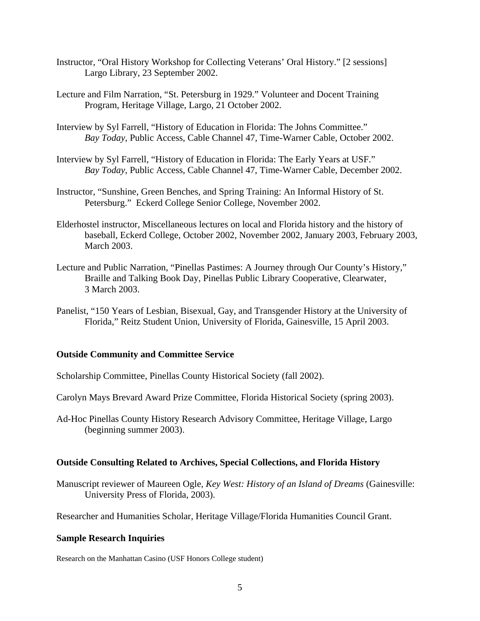- Instructor, "Oral History Workshop for Collecting Veterans' Oral History." [2 sessions] Largo Library, 23 September 2002.
- Lecture and Film Narration, "St. Petersburg in 1929." Volunteer and Docent Training Program, Heritage Village, Largo, 21 October 2002.
- Interview by Syl Farrell, "History of Education in Florida: The Johns Committee." *Bay Today*, Public Access, Cable Channel 47, Time-Warner Cable, October 2002.
- Interview by Syl Farrell, "History of Education in Florida: The Early Years at USF." *Bay Today*, Public Access, Cable Channel 47, Time-Warner Cable, December 2002.
- Instructor, "Sunshine, Green Benches, and Spring Training: An Informal History of St. Petersburg." Eckerd College Senior College, November 2002.
- Elderhostel instructor, Miscellaneous lectures on local and Florida history and the history of baseball, Eckerd College, October 2002, November 2002, January 2003, February 2003, March 2003.
- Lecture and Public Narration, "Pinellas Pastimes: A Journey through Our County's History," Braille and Talking Book Day, Pinellas Public Library Cooperative, Clearwater, 3 March 2003.
- Panelist, "150 Years of Lesbian, Bisexual, Gay, and Transgender History at the University of Florida," Reitz Student Union, University of Florida, Gainesville, 15 April 2003.

## **Outside Community and Committee Service**

- Scholarship Committee, Pinellas County Historical Society (fall 2002).
- Carolyn Mays Brevard Award Prize Committee, Florida Historical Society (spring 2003).
- Ad-Hoc Pinellas County History Research Advisory Committee, Heritage Village, Largo (beginning summer 2003).

## **Outside Consulting Related to Archives, Special Collections, and Florida History**

Manuscript reviewer of Maureen Ogle, *Key West: History of an Island of Dreams* (Gainesville: University Press of Florida, 2003).

Researcher and Humanities Scholar, Heritage Village/Florida Humanities Council Grant.

## **Sample Research Inquiries**

Research on the Manhattan Casino (USF Honors College student)